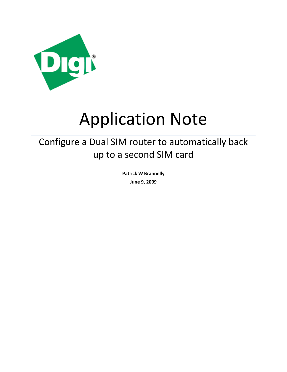

# Application Note

## Configure a Dual SIM router to automatically back up to a second SIM card

**Patrick W Brannelly June 9, 2009**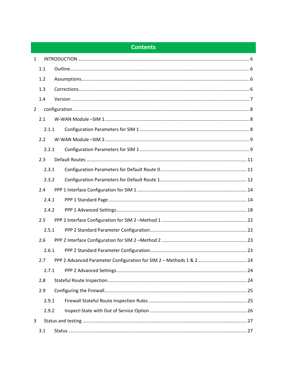## **Contents**

| $\mathbf{1}$   |       |  |  |  |
|----------------|-------|--|--|--|
|                | 1.1   |  |  |  |
|                | 1.2   |  |  |  |
|                | 1.3   |  |  |  |
|                | 1.4   |  |  |  |
| $\overline{2}$ |       |  |  |  |
|                | 2.1   |  |  |  |
|                | 2.1.1 |  |  |  |
|                | 2.2   |  |  |  |
|                | 2.2.1 |  |  |  |
|                | 2.3   |  |  |  |
|                | 2.3.1 |  |  |  |
|                | 2.3.2 |  |  |  |
|                | 2.4   |  |  |  |
|                | 2.4.1 |  |  |  |
|                | 2.4.2 |  |  |  |
|                | 2.5   |  |  |  |
|                | 2.5.1 |  |  |  |
|                | 2.6   |  |  |  |
|                | 2.6.1 |  |  |  |
|                | 2.7   |  |  |  |
|                | 2.7.1 |  |  |  |
|                | 2.8   |  |  |  |
|                | 2.9   |  |  |  |
|                | 2.9.1 |  |  |  |
|                | 2.9.2 |  |  |  |
| 3              |       |  |  |  |
|                | 3.1   |  |  |  |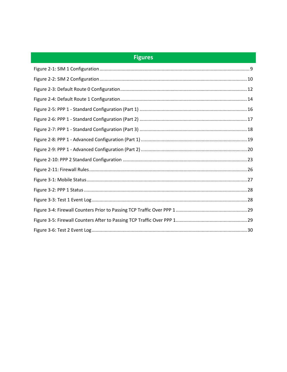## **Figures**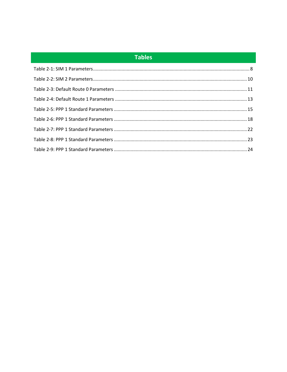## **Tables**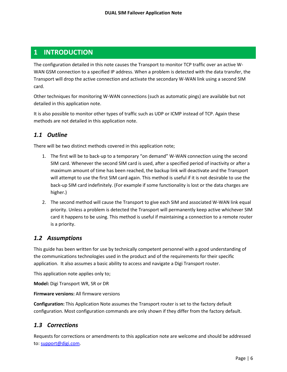## <span id="page-5-0"></span>**1 INTRODUCTION**

The configuration detailed in this note causes the Transport to monitor TCP traffic over an active W-WAN GSM connection to a specified IP address. When a problem is detected with the data transfer, the Transport will drop the active connection and activate the secondary W-WAN link using a second SIM card.

Other techniques for monitoring W-WAN connections (such as automatic pings) are available but not detailed in this application note.

It is also possible to monitor other types of traffic such as UDP or ICMP instead of TCP. Again these methods are not detailed in this application note.

## <span id="page-5-1"></span>*1.1 Outline*

There will be two distinct methods covered in this application note;

- 1. The first will be to back-up to a temporary "on demand" W-WAN connection using the second SIM card. Whenever the second SIM card is used, after a specified period of inactivity or after a maximum amount of time has been reached, the backup link will deactivate and the Transport will attempt to use the first SIM card again. This method is useful if it is not desirable to use the back-up SIM card indefinitely. (For example if some functionality is lost or the data charges are higher.)
- 2. The second method will cause the Transport to give each SIM and associated W-WAN link equal priority. Unless a problem is detected the Transport will permanently keep active whichever SIM card it happens to be using. This method is useful if maintaining a connection to a remote router is a priority.

## <span id="page-5-2"></span>*1.2 Assumptions*

This guide has been written for use by technically competent personnel with a good understanding of the communications technologies used in the product and of the requirements for their specific application. It also assumes a basic ability to access and navigate a Digi Transport router.

This application note applies only to;

**Model:** Digi Transport WR, SR or DR

**Firmware versions:** All firmware versions

**Configuration:** This Application Note assumes the Transport router is set to the factory default configuration. Most configuration commands are only shown if they differ from the factory default.

## <span id="page-5-3"></span>*1.3 Corrections*

Requests for corrections or amendments to this application note are welcome and should be addressed to: [support@digi.com.](mailto:support@digi.com)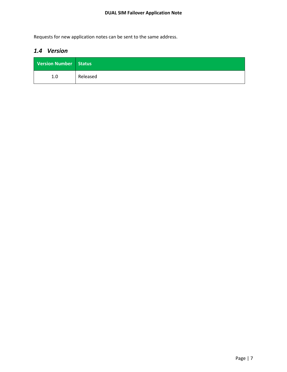Requests for new application notes can be sent to the same address.

## <span id="page-6-0"></span>*1.4 Version*

| Version Number Status |          |
|-----------------------|----------|
| 1.0                   | Released |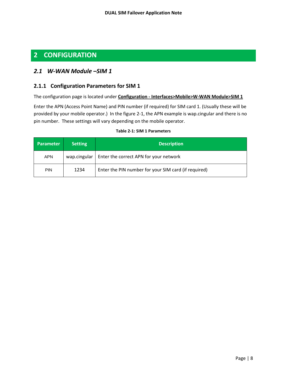## <span id="page-7-0"></span>**2 CONFIGURATION**

## <span id="page-7-1"></span>*2.1 W-WAN Module –SIM 1*

#### <span id="page-7-2"></span>**2.1.1 Configuration Parameters for SIM 1**

The configuration page is located under **Configuration - Interfaces>Mobile>W-WAN Module>SIM 1** 

Enter the APN (Access Point Name) and PIN number (if required) for SIM card 1. (Usually these will be provided by your mobile operator.) In the figure 2-1, the APN example is wap.cingular and there is no pin number. These settings will vary depending on the mobile operator.

<span id="page-7-3"></span>

| <b>Setting</b><br><b>Parameter</b>                                         |              | <b>Description</b>                     |  |
|----------------------------------------------------------------------------|--------------|----------------------------------------|--|
| <b>APN</b>                                                                 | wap.cingular | Enter the correct APN for your network |  |
| Enter the PIN number for your SIM card (if required)<br>1234<br><b>PIN</b> |              |                                        |  |

#### **Table 2-1: SIM 1 Parameters**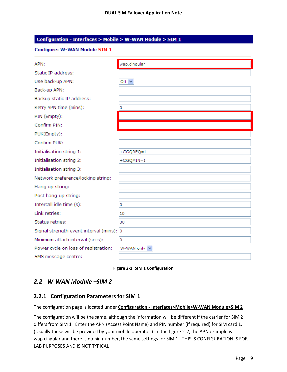| Configuration - Interfaces > Mobile > W-WAN Module > SIM 1 |               |  |
|------------------------------------------------------------|---------------|--|
| Configure: W-WAN Module SIM 1                              |               |  |
| APN:                                                       | wap.cingular  |  |
| Static IP address:                                         |               |  |
| Use back-up APN:                                           | Off $\vee$    |  |
| Back-up APN:                                               |               |  |
| Backup static IP address:                                  |               |  |
| Retry APN time (mins):                                     | 0             |  |
| PIN (Empty):                                               |               |  |
| Confirm PIN:                                               |               |  |
| PUK(Empty):                                                |               |  |
| Confirm PUK:                                               |               |  |
| Initialisation string 1:                                   | $+CGQREQ=1$   |  |
| Initialisation string 2:                                   | $+CGQMIN = 1$ |  |
| Initialisation string 3:                                   |               |  |
| Network preference/locking string:                         |               |  |
| Hang-up string:                                            |               |  |
| Post hang-up string:                                       |               |  |
| Intercall idle time (s):                                   | 0             |  |
| Link retries:                                              | 10            |  |
| Status retries:                                            | 30            |  |
| Signal strength event interval (mins): 0                   |               |  |
| Minimum attach interval (secs):                            | 0             |  |
| Power cycle on loss of registration:                       | W-WAN only V  |  |
| SMS message centre:                                        |               |  |

**Figure 2-1: SIM 1 Configuration**

## <span id="page-8-2"></span><span id="page-8-0"></span>*2.2 W-WAN Module –SIM 2*

#### <span id="page-8-1"></span>**2.2.1 Configuration Parameters for SIM 1**

The configuration page is located under **Configuration - Interfaces>Mobile>W-WAN Module>SIM 2** 

The configuration will be the same, although the information will be different if the carrier for SIM 2 differs from SIM 1. Enter the APN (Access Point Name) and PIN number (if required) for SIM card 1. (Usually these will be provided by your mobile operator.) In the figure 2-2, the APN example is wap.cingular and there is no pin number, the same settings for SIM 1. THIS IS CONFIGURATION IS FOR LAB PURPOSES AND IS NOT TYPICAL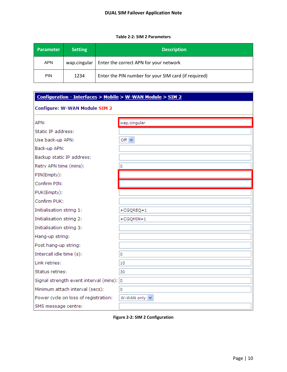#### **Table 2-2: SIM 2 Parameters**

<span id="page-9-1"></span>

| <b>Parameter</b> | <b>Setting</b> | <b>Description</b>                                   |  |
|------------------|----------------|------------------------------------------------------|--|
| <b>APN</b>       | wap.cingular   | Enter the correct APN for your network               |  |
| <b>PIN</b>       | 1234           | Enter the PIN number for your SIM card (if required) |  |

| Configuration - Interfaces > Mobile > W-WAN Module > SIM 2 |               |  |  |
|------------------------------------------------------------|---------------|--|--|
| Configure: W-WAN Module SIM 2                              |               |  |  |
| APN:                                                       | wap.cingular  |  |  |
| Static IP address:                                         |               |  |  |
| Use back-up APN:                                           | Off $\vee$    |  |  |
| Back-up APN:                                               |               |  |  |
| Backup static IP address:                                  |               |  |  |
| Retry APN time (mins):                                     | 0             |  |  |
| PIN(Empty):                                                |               |  |  |
| Confirm PIN:                                               |               |  |  |
| PUK(Empty):                                                |               |  |  |
| Confirm PUK:                                               |               |  |  |
| Initialisation string 1:                                   | $+CGQREQ=1$   |  |  |
| Initialisation string 2:                                   | $+CGQMIN = 1$ |  |  |
| Initialisation string 3:                                   |               |  |  |
| Hang-up string:                                            |               |  |  |
| Post hang-up string:                                       |               |  |  |
| Intercall idle time (s):                                   | 0             |  |  |
| Link retries:                                              | 10            |  |  |
| Status retries:                                            | 30            |  |  |
| Signal strength event interval (mins): 0                   |               |  |  |
| Minimum attach interval (secs):                            | 0             |  |  |
| Power cycle on loss of registration:                       | W-WAN only V  |  |  |
| SMS message centre:                                        |               |  |  |

<span id="page-9-0"></span>**Figure 2-2: SIM 2 Configuration**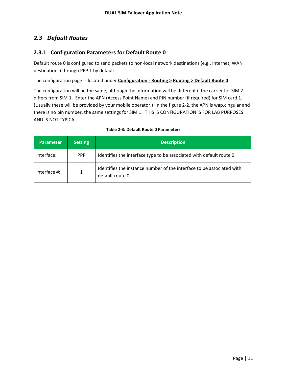## <span id="page-10-0"></span>*2.3 Default Routes*

## <span id="page-10-1"></span>**2.3.1 Configuration Parameters for Default Route 0**

Default route 0 is configured to send packets to non-local network destinations (e.g., Internet, WAN destinations) through PPP 1 by default.

The configuration page is located under **Configuration - Routing > Routing > Default Route 0** 

The configuration will be the same, although the information will be different if the carrier for SIM 2 differs from SIM 1. Enter the APN (Access Point Name) and PIN number (if required) for SIM card 1. (Usually these will be provided by your mobile operator.) In the figure 2-2, the APN is wap.cingular and there is no pin number, the same settings for SIM 1. THIS IS CONFIGURATION IS FOR LAB PURPOSES AND IS NOT TYPICAL

<span id="page-10-2"></span>

| <b>Parameter</b> | <b>Setting</b> | <b>Description</b>                                                                       |
|------------------|----------------|------------------------------------------------------------------------------------------|
| Interface:       | <b>PPP</b>     | Identifies the interface type to be associated with default route 0                      |
| Interface #:     | 1              | Identifies the instance number of the interface to be associated with<br>default route 0 |

#### **Table 2-3: Default Route 0 Parameters**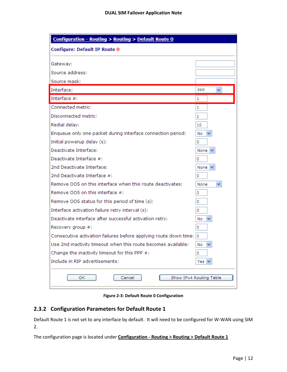| Configuration - Routing > Routing > Default Route 0<br>Configure: Default IP Route 0                                                    |                         |
|-----------------------------------------------------------------------------------------------------------------------------------------|-------------------------|
| Gateway:                                                                                                                                |                         |
| Source address:                                                                                                                         |                         |
| Source mask:                                                                                                                            |                         |
| Interface:                                                                                                                              | <b>PPP</b>              |
| Interface #:                                                                                                                            | 1                       |
| Connected metric:                                                                                                                       | 1                       |
| Disconnected metric:                                                                                                                    | 1                       |
| Redial delay:                                                                                                                           | 10                      |
| Enqueue only one packet during interface connection period:                                                                             | No                      |
| Initial powerup delay (s):                                                                                                              | 0                       |
| Deactivate Interface:                                                                                                                   | None <sup></sup>        |
| Deactivate Interface #:                                                                                                                 | 0                       |
| 2nd Deactivate Interface:                                                                                                               | None <sup></sup>        |
| 2nd Deactivate Interface #:                                                                                                             | 0                       |
| Remove OOS on this interface when this route deactivates:                                                                               | None                    |
| Remove OOS on this interface #:                                                                                                         | 0                       |
| Remove OOS status for this period of time (s):                                                                                          | 0                       |
| Interface activation failure retry interval (s):                                                                                        | 0                       |
| Deactivate interface after successful activation retry:                                                                                 | No                      |
| Recovery group #:                                                                                                                       | 0                       |
| Consecutive activation failures before applying route down time: 0                                                                      |                         |
| Use 2nd inactivity timeout when this route becomes available: $\begin{vmatrix} \n\end{vmatrix}$ No $\begin{vmatrix} \vee \end{vmatrix}$ |                         |
| Change the inactivity timeout for this PPP #:                                                                                           | 0                       |
| Include in RIP advertisements:                                                                                                          | Yes \                   |
| Cancel<br>OK                                                                                                                            | Show IPv4 Routing Table |

**Figure 2-3: Default Route 0 Configuration**

## <span id="page-11-1"></span><span id="page-11-0"></span>**2.3.2 Configuration Parameters for Default Route 1**

Default Route 1 is not set to any interface by default. It will need to be configured for W-WAN using SIM 2.

The configuration page is located under **Configuration - Routing > Routing > Default Route 1**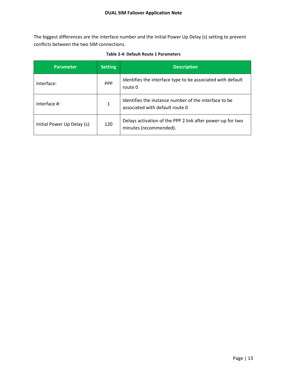The biggest differences are the interface number and the Initial Power Up Delay (s) setting to prevent conflicts between the two SIM connections.

<span id="page-12-0"></span>

| <b>Parameter</b>            | <b>Setting</b> | <b>Description</b>                                                                       |
|-----------------------------|----------------|------------------------------------------------------------------------------------------|
| Interface:                  | <b>PPP</b>     | Identifies the interface type to be associated with default<br>route 0                   |
| Interface $\#$ :            | 1              | Identifies the instance number of the interface to be<br>associated with default route 0 |
| Initial Power Up Delay (s): | 120            | Delays activation of the PPP 2 link after power-up for two<br>minutes (recommended).     |

**Table 2-4: Default Route 1 Parameters**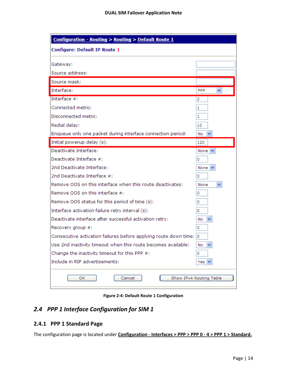| <b>Configure: Default IP Route 1</b>                                                                                 |             |
|----------------------------------------------------------------------------------------------------------------------|-------------|
| Gateway:                                                                                                             |             |
| Source address:                                                                                                      |             |
| Source mask:                                                                                                         |             |
| Interface:                                                                                                           | PPP         |
| Interface #:                                                                                                         | 2           |
| Connected metric:                                                                                                    | 1           |
| Disconnected metric:                                                                                                 | 1           |
| Redial delay:                                                                                                        | 10          |
| Enqueue only one packet during interface connection period:                                                          | $No \sim$   |
| Initial powerup delay (s):                                                                                           | 120         |
| Deactivate Interface:                                                                                                | None $\vee$ |
| Deactivate Interface #:                                                                                              | 0           |
| 2nd Deactivate Interface:                                                                                            | None $\vee$ |
| 2nd Deactivate Interface #:                                                                                          | 0           |
| Remove OOS on this interface when this route deactivates:                                                            | None<br>v   |
| Remove OOS on this interface #:                                                                                      | 0           |
| Remove OOS status for this period of time (s):                                                                       | 0           |
| Interface activation failure retry interval (s):                                                                     | 0           |
| Deactivate interface after successful activation retry:                                                              | No          |
| Recovery group #:                                                                                                    | 0           |
| Consecutive activation failures before applying route down time: 0                                                   |             |
| Use 2nd inactivity timeout when this route becomes available: $\begin{vmatrix} N_0 & N_1 \\ N_2 & N_2 \end{vmatrix}$ |             |
| Change the inactivity timeout for this PPP #:                                                                        | 0           |
| Include in RIP advertisements:                                                                                       | Yes I       |

**Figure 2-4: Default Route 1 Configuration**

## <span id="page-13-2"></span><span id="page-13-0"></span>*2.4 PPP 1 Interface Configuration for SIM 1*

## <span id="page-13-1"></span>**2.4.1 PPP 1 Standard Page**

The configuration page is located under **Configuration - Interfaces > PPP > PPP 0 - 4 > PPP 1 > Standard.**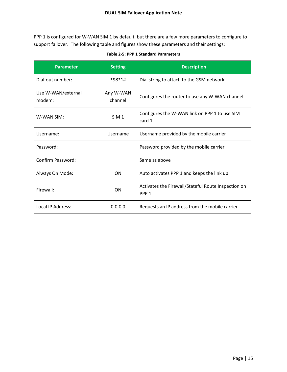PPP 1 is configured for W-WAN SIM 1 by default, but there are a few more parameters to configure to support failover. The following table and figures show these parameters and their settings:

<span id="page-14-0"></span>

| <b>Parameter</b>             | <b>Setting</b>       | <b>Description</b>                                                      |
|------------------------------|----------------------|-------------------------------------------------------------------------|
| Dial-out number:             | $*98*1#$             | Dial string to attach to the GSM network                                |
| Use W-WAN/external<br>modem: | Any W-WAN<br>channel | Configures the router to use any W-WAN channel                          |
| W-WAN SIM:                   | SIM <sub>1</sub>     | Configures the W-WAN link on PPP 1 to use SIM<br>card 1                 |
| Username:                    | Username             | Username provided by the mobile carrier                                 |
| Password:                    |                      | Password provided by the mobile carrier                                 |
| Confirm Password:            |                      | Same as above                                                           |
| Always On Mode:              | ON                   | Auto activates PPP 1 and keeps the link up                              |
| Firewall:                    | ON                   | Activates the Firewall/Stateful Route Inspection on<br>PPP <sub>1</sub> |
| Local IP Address:            | 0.0.0.0              | Requests an IP address from the mobile carrier                          |

**Table 2-5: PPP 1 Standard Parameters**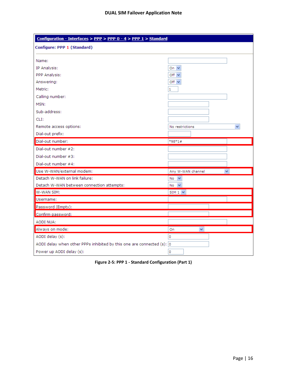| Configuration - Interfaces > PPP > PPP 0 - 4 > PPP 1 > Standard       |                                   |
|-----------------------------------------------------------------------|-----------------------------------|
| Configure: PPP 1 (Standard)                                           |                                   |
| Name:                                                                 |                                   |
| IP Analysis:                                                          | On $\vee$                         |
| PPP Analysis:                                                         | Off $\vee$                        |
| Answering:                                                            | Off $\vee$                        |
| Metric:                                                               | 1                                 |
| Calling number:                                                       |                                   |
| MSN:                                                                  |                                   |
| Sub-address:                                                          |                                   |
| CLI:                                                                  |                                   |
| Remote access options:                                                | No restrictions<br>$\checkmark$   |
| Dial-out prefix:                                                      |                                   |
| Dial-out number:                                                      | *98*1#                            |
| Dial-out number #2:                                                   |                                   |
| Dial-out number #3:                                                   |                                   |
| Dial-out number #4:                                                   |                                   |
| Use W-WAN/external modem:                                             | $\checkmark$<br>Any W-WAN channel |
| Detach W-WAN on link failure:                                         | $No \vee$                         |
| Detach W-WAN between connection attempts:                             | $No \nightharpoonup$              |
| W-WAN SIM:                                                            | $SIM 1 \vee$                      |
| Username:                                                             |                                   |
| Password (Empty):                                                     |                                   |
| Confirm password:                                                     |                                   |
| AODI NUA:                                                             |                                   |
| Always on mode:                                                       | v<br>On                           |
| AODI delay (s):                                                       | 0                                 |
| AODI delay when other PPPs inhibited by this one are connected (s): 0 |                                   |
|                                                                       |                                   |

<span id="page-15-0"></span>**Figure 2-5: PPP 1 - Standard Configuration (Part 1)**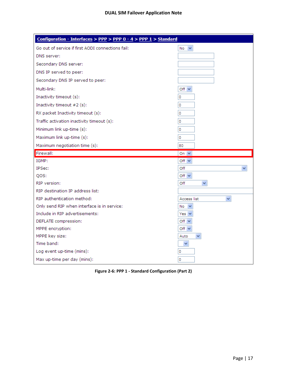| Configuration - Interfaces > PPP > PPP 0 - 4 > PPP 1 > Standard |                             |
|-----------------------------------------------------------------|-----------------------------|
| Go out of service if first AODI connections fail:               | $\checkmark$<br>No          |
| DNS server:                                                     |                             |
| Secondary DNS server:                                           |                             |
| DNS IP served to peer:                                          |                             |
| Secondary DNS IP served to peer:                                |                             |
| Multi-link:                                                     | Off $\vee$                  |
| Inactivity timeout (s):                                         | 0                           |
| Inactivity timeout #2 (s):                                      | 0                           |
| RX packet Inactivity timeout (s):                               | 0                           |
| Traffic activation inactivity timeout (s):                      | 0                           |
| Minimum link up-time (s):                                       | 0                           |
| Maximum link up-time (s):                                       | 0                           |
| Maximum negotiation time (s):                                   | 80                          |
|                                                                 |                             |
| Firewall:                                                       | On $\vee$                   |
| IGMP:                                                           | Off $\vee$                  |
| IPSec:                                                          | Off                         |
| QOS:                                                            | Off $\vee$                  |
| RIP version:                                                    | Off<br>v                    |
| RIP destination IP address list:                                |                             |
| RIP authentication method:                                      | Access list<br>$\checkmark$ |
| Only send RIP when interface is in service:                     | No<br>$\checkmark$          |
| Include in RIP advertisements:                                  | Yes $\vee$                  |
| DEFLATE compression:                                            | Off $\vee$                  |
| MPPE encryption:                                                | Off $\vee$                  |
| MPPE key size:                                                  | Auto<br>×.                  |
| Time band:                                                      | ×                           |
| Log event up-time (mins):                                       | 0                           |

<span id="page-16-0"></span>**Figure 2-6: PPP 1 - Standard Configuration (Part 2)**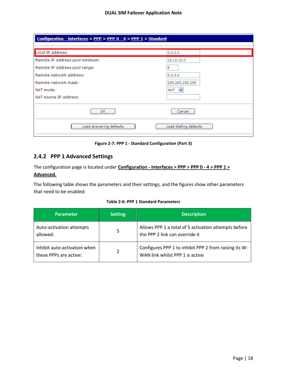| Configuration - Interfaces > PPP > PPP 0 - 4 > PPP 1 > Standard |                        |
|-----------------------------------------------------------------|------------------------|
|                                                                 |                        |
| Local IP address:                                               | 0.0.0.0                |
| Remote IP address pool minimum:                                 | 10,10,10,0             |
| Remote IP address pool range:                                   | 5                      |
| Remote network address:                                         | 0.0.0.0                |
| Remote network mask:                                            | 255.255.255.255        |
| NAT mode:                                                       | NAT<br>$\checkmark$    |
| NAT source IP address:                                          |                        |
| OK.                                                             | Cancel                 |
| Load answering defaults                                         | Load dialling defaults |

**Figure 2-7: PPP 1 - Standard Configuration (Part 3)**

## <span id="page-17-1"></span><span id="page-17-0"></span>**2.4.2 PPP 1 Advanced Settings**

The configuration page is located under **Configuration - Interfaces > PPP > PPP 0 - 4 > PPP 1 > Advanced.**

The following table shows the parameters and their settings, and the figures show other parameters that need to be enabled:

|  |  |  | Table 2-6: PPP 1 Standard Parameters |
|--|--|--|--------------------------------------|
|--|--|--|--------------------------------------|

<span id="page-17-2"></span>

| <b>Parameter</b>                                       | <b>Setting</b> | <b>Description</b>                                                                       |
|--------------------------------------------------------|----------------|------------------------------------------------------------------------------------------|
| Auto-activation attempts<br>allowed:                   | 5              | Allows PPP 1 a total of 5 activation attempts before<br>the PPP 2 link can override it   |
| Inhibit auto-activation when<br>these PPPs are active: | 2              | Configures PPP 1 to inhibit PPP 2 from raising its W-<br>WAN link whilst PPP 1 is active |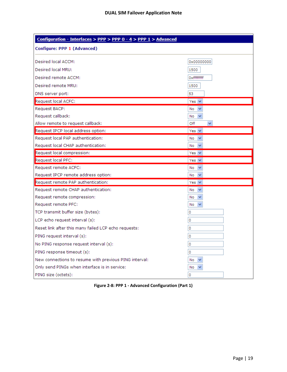| Configuration - Interfaces > PPP > PPP 0 - 4 > PPP 1 > Advanced |                      |  |
|-----------------------------------------------------------------|----------------------|--|
| Configure: PPP 1 (Advanced)                                     |                      |  |
| Desired local ACCM:                                             | 0x00000000           |  |
| Desired local MRU:                                              | 1500                 |  |
| Desired remote ACCM:                                            | 0xfffffffff          |  |
| Desired remote MRU:                                             | 1500                 |  |
| DNS server port:                                                | 53                   |  |
| Request local ACFC:                                             | Yes $ v $            |  |
| Request BACP:                                                   | No<br>$\checkmark$   |  |
| Request callback:                                               | $No \sim$            |  |
| Allow remote to request callback:                               | Off<br>v             |  |
| Request IPCP local address option:                              | Yes $ v $            |  |
| Request local PAP authentication:                               | $No \nightharpoonup$ |  |
| Request local CHAP authentication:                              | $No \nightharpoonup$ |  |
| Request local compression:                                      | Yes $ v $            |  |
| Request local PFC:                                              | Yes $ v $            |  |
| Request remote ACFC:                                            | No<br>$\checkmark$   |  |
| Request IPCP remote address option:                             | $No \nightharpoonup$ |  |
| Request remote PAP authentication:                              | Yes $\vee$           |  |
| Request remote CHAP authentication:                             | $\checkmark$<br>No   |  |
| Request remote compression:                                     | No<br>$\checkmark$   |  |
| Request remote PFC:                                             | No<br>$\checkmark$   |  |
| TCP transmit buffer size (bytes):                               | 0                    |  |
| LCP echo request interval (s):                                  | 0                    |  |
| Reset link after this many failed LCP echo requests:            | 0                    |  |
| PING request interval (s):                                      | 0                    |  |
| No PING response request interval (s):                          | 0                    |  |
| PING response timeout (s):                                      | 0                    |  |
| New connections to resume with previous PING interval:          | No                   |  |
| Only send PINGs when interface is in service:                   | No                   |  |
| PING size (octets):                                             | 0                    |  |

<span id="page-18-0"></span>**Figure 2-8: PPP 1 - Advanced Configuration (Part 1)**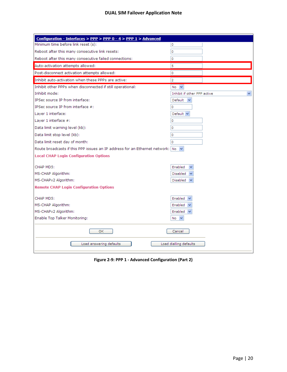| Configuration - Interfaces > PPP > PPP 0 - 4 > PPP 1 > Advanced                                          |                             |
|----------------------------------------------------------------------------------------------------------|-----------------------------|
| Minimum time before link reset (s):                                                                      | 0                           |
| Reboot after this many consecutive link resets:                                                          | 0                           |
| Reboot after this many consecutive failed connections:                                                   | $\circ$                     |
| Auto-activation attempts allowed:                                                                        | 5                           |
| Post-disconnect activation attempts allowed:                                                             | 0                           |
| Inhibit auto-activation when these PPPs are active:                                                      | $\overline{2}$              |
| Inhibit other PPPs when disconnected if still operational:                                               | $No \sim$                   |
| Inhibit mode:                                                                                            | Inhibit if other PPP active |
| IPSec source IP from interface:                                                                          | Default<br>$\checkmark$     |
| IPSec source IP from interface #:                                                                        | $\Omega$                    |
| Layer 1 interface:                                                                                       | Default $\vee$              |
| Laver 1 interface #:                                                                                     | 0                           |
| Data limit warning level (kb):                                                                           | O                           |
| Data limit stop level (kb):                                                                              | o                           |
| Data limit reset day of month:                                                                           | 0                           |
| Route broadcasts if this PPP issues an IP address for an Ethernet network: $\overline{N}$ $\overline{V}$ |                             |
| <b>Local CHAP Login Configuration Options</b>                                                            |                             |
| CHAP MD5:                                                                                                | Enabled                     |
| MS-CHAP Algorithm:                                                                                       | Disabled                    |
| MS-CHAPv2 Algorithm:                                                                                     | Disabled                    |
| <b>Remote CHAP Login Configuration Options</b>                                                           |                             |
| CHAP MD5:                                                                                                | Enabled $\vee$              |
| MS-CHAP Algorithm:                                                                                       | Enabled $\vee$              |
| MS-CHAPv2 Algorithm:                                                                                     | Enabled $\vee$              |
| Enable Top Talker Monitoring:                                                                            | No                          |
| ОΚ                                                                                                       | Cancel                      |
| Load answering defaults                                                                                  | Load dialling defaults      |

<span id="page-19-0"></span>**Figure 2-9: PPP 1 - Advanced Configuration (Part 2)**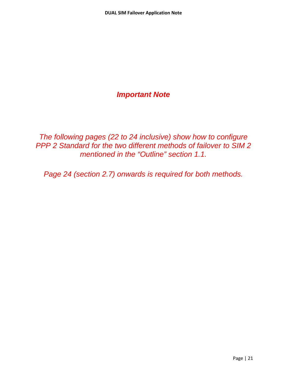## *Important Note*

*The following pages (22 to 24 inclusive) show how to configure PPP 2 Standard for the two different methods of failover to SIM 2 mentioned in the "Outline" section 1.1.*

*Page 24 (section 2.7) onwards is required for both methods.*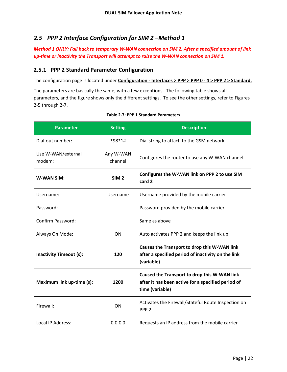## <span id="page-21-0"></span>*2.5 PPP 2 Interface Configuration for SIM 2 –Method 1*

*Method 1 ONLY: Fall back to temporary W-WAN connection on SIM 2. After a specified amount of link up-time or inactivity the Transport will attempt to raise the W-WAN connection on SIM 1.*

#### <span id="page-21-1"></span>**2.5.1 PPP 2 Standard Parameter Configuration**

The configuration page is located under **Configuration - Interfaces > PPP > PPP 0 - 4 > PPP 2 > Standard.** 

The parameters are basically the same, with a few exceptions. The following table shows all parameters, and the figure shows only the different settings. To see the other settings, refer to Figures 2-5 through 2-7.

<span id="page-21-2"></span>

| <b>Parameter</b>               | <b>Setting</b>       | <b>Description</b>                                                                                                    |
|--------------------------------|----------------------|-----------------------------------------------------------------------------------------------------------------------|
| Dial-out number:               | *98*1#               | Dial string to attach to the GSM network                                                                              |
| Use W-WAN/external<br>modem:   | Any W-WAN<br>channel | Configures the router to use any W-WAN channel                                                                        |
| <b>W-WAN SIM:</b>              | SIM <sub>2</sub>     | Configures the W-WAN link on PPP 2 to use SIM<br>card 2                                                               |
| Username:                      | Username             | Username provided by the mobile carrier                                                                               |
| Password:                      |                      | Password provided by the mobile carrier                                                                               |
| Confirm Password:              |                      | Same as above                                                                                                         |
| Always On Mode:                | ON                   | Auto activates PPP 2 and keeps the link up                                                                            |
| <b>Inactivity Timeout (s):</b> | 120                  | Causes the Transport to drop this W-WAN link<br>after a specified period of inactivity on the link<br>(variable)      |
| Maximum link up-time (s):      | 1200                 | Caused the Transport to drop this W-WAN link<br>after it has been active for a specified period of<br>time (variable) |
| Firewall:                      | ON                   | Activates the Firewall/Stateful Route Inspection on<br>PPP <sub>2</sub>                                               |
| Local IP Address:              | 0.0.0.0              | Requests an IP address from the mobile carrier                                                                        |

#### **Table 2-7: PPP 1 Standard Parameters**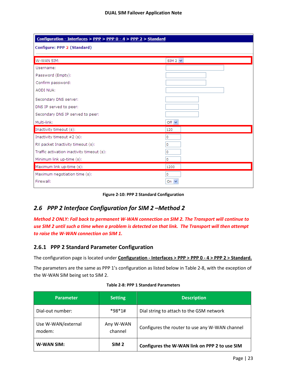| Configuration - Interfaces > PPP > PPP 0 - 4 > PPP 2 > Standard |                |  |
|-----------------------------------------------------------------|----------------|--|
| Configure: PPP 2 (Standard)                                     |                |  |
| W-WAN SIM:                                                      | $SIM 2 \times$ |  |
| Username:                                                       |                |  |
| Password (Empty):                                               |                |  |
| Confirm password:                                               |                |  |
| AODI NUA:                                                       |                |  |
| Secondary DNS server:                                           |                |  |
| DNS IP served to peer:                                          |                |  |
| Secondary DNS IP served to peer:                                |                |  |
| Multi-link:                                                     | Off $\vee$     |  |
| Inactivity timeout (s):                                         | 120            |  |
| Inactivity timeout $#2(s)$ :                                    | 0              |  |
| RX packet Inactivity timeout (s):                               | 0              |  |
| Traffic activation inactivity timeout (s):                      | 0              |  |
| Minimum link up-time (s):                                       | ٥              |  |
| Maximum link up-time (s):                                       | 1200           |  |
| Maximum negotiation time (s):                                   | 0              |  |
| Firewall:                                                       | On $\vee$      |  |

**Figure 2-10: PPP 2 Standard Configuration**

## <span id="page-22-2"></span><span id="page-22-0"></span>*2.6 PPP 2 Interface Configuration for SIM 2 –Method 2*

*Method 2 ONLY: Fall back to permanent W-WAN connection on SIM 2. The Transport will continue to use SIM 2 until such a time when a problem is detected on that link. The Transport will then attempt to raise the W-WAN connection on SIM 1.*

#### <span id="page-22-1"></span>**2.6.1 PPP 2 Standard Parameter Configuration**

The configuration page is located under **Configuration - Interfaces > PPP > PPP 0 - 4 > PPP 2 > Standard.** 

The parameters are the same as PPP 1's configuration as listed below in Table 2-8, with the exception of the W-WAN SIM being set to SIM 2.

<span id="page-22-3"></span>

| <b>Parameter</b>             | <b>Setting</b>       | <b>Description</b>                             |
|------------------------------|----------------------|------------------------------------------------|
| Dial-out number:             | $*98*1#$             | Dial string to attach to the GSM network       |
| Use W-WAN/external<br>modem: | Any W-WAN<br>channel | Configures the router to use any W-WAN channel |
| <b>W-WAN SIM:</b>            | SIM <sub>2</sub>     | Configures the W-WAN link on PPP 2 to use SIM  |

|  |  | Table 2-8: PPP 1 Standard Parameters |
|--|--|--------------------------------------|
|  |  |                                      |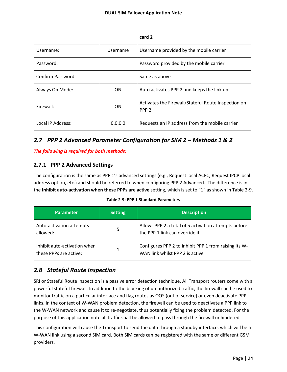|                   |          | card 2                                                                  |
|-------------------|----------|-------------------------------------------------------------------------|
| Username:         | Username | Username provided by the mobile carrier                                 |
| Password:         |          | Password provided by the mobile carrier                                 |
| Confirm Password: |          | Same as above                                                           |
| Always On Mode:   | ON.      | Auto activates PPP 2 and keeps the link up                              |
| Firewall:         | ON.      | Activates the Firewall/Stateful Route Inspection on<br>PPP <sub>2</sub> |
| Local IP Address: | 0.0.0.0  | Requests an IP address from the mobile carrier                          |

## <span id="page-23-0"></span>*2.7 PPP 2 Advanced Parameter Configuration for SIM 2 – Methods 1 & 2*

*The following is required for both methods:*

#### <span id="page-23-1"></span>**2.7.1 PPP 2 Advanced Settings**

The configuration is the same as PPP 1's advanced settings (e.g., Request local ACFC, Request IPCP local address option, etc.) and should be referred to when configuring PPP 2 Advanced. The difference is in the **Inhibit auto-activation when these PPPs are active** setting, which is set to "1" as shown in Table 2-9.

#### **Table 2-9: PPP 1 Standard Parameters**

<span id="page-23-3"></span>

| Parameter                                              | <b>Setting</b> | <b>Description</b>                                                                       |
|--------------------------------------------------------|----------------|------------------------------------------------------------------------------------------|
| Auto-activation attempts<br>allowed:                   | 5              | Allows PPP 2 a total of 5 activation attempts before<br>the PPP 1 link can override it   |
| Inhibit auto-activation when<br>these PPPs are active: |                | Configures PPP 2 to inhibit PPP 1 from raising its W-<br>WAN link whilst PPP 2 is active |

## <span id="page-23-2"></span>*2.8 Stateful Route Inspection*

SRI or Stateful Route Inspection is a passive error detection technique. All Transport routers come with a powerful stateful firewall. In addition to the blocking of un-authorized traffic, the firewall can be used to monitor traffic on a particular interface and flag routes as OOS (out of service) or even deactivate PPP links. In the context of W-WAN problem detection, the firewall can be used to deactivate a PPP link to the W-WAN network and cause it to re-negotiate, thus potentially fixing the problem detected. For the purpose of this application note all traffic shall be allowed to pass through the firewall unhindered.

This configuration will cause the Transport to send the data through a standby interface, which will be a W-WAN link using a second SIM card. Both SIM cards can be registered with the same or different GSM providers.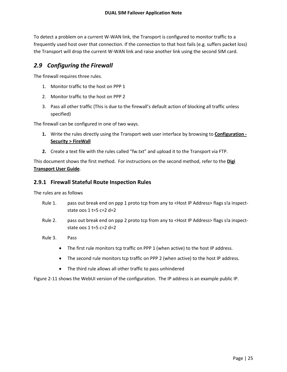To detect a problem on a current W-WAN link, the Transport is configured to monitor traffic to a frequently used host over that connection. If the connection to that host fails (e.g. suffers packet loss) the Transport will drop the current W-WAN link and raise another link using the second SIM card.

## <span id="page-24-0"></span>*2.9 Configuring the Firewall*

The firewall requires three rules.

- 1. Monitor traffic to the host on PPP 1
- 2. Monitor traffic to the host on PPP 2
- 3. Pass all other traffic (This is due to the firewall's default action of blocking all traffic unless specified)

The firewall can be configured in one of two ways.

- **1.** Write the rules directly using the Transport web user interface by browsing to **Configuration - Security > FireWall**
- **2.** Create a text file with the rules called "fw.txt" and upload it to the Transport via FTP.

This document shows the first method. For instructions on the second method, refer to the **Digi Transport User Guide** .

#### <span id="page-24-1"></span>**2.9.1 Firewall Stateful Route Inspection Rules**

The rules are as follows

- Rule 1. pass out break end on ppp 1 proto tcp from any to <Host IP Address> flags s!a inspectstate oos  $1$  t=5 c=2 d=2
- Rule 2. pass out break end on ppp 2 proto tcp from any to <Host IP Address> flags s!a inspectstate oos  $1$  t=5 c=2 d=2
- Rule 3. Pass
	- The first rule monitors tcp traffic on PPP 1 (when active) to the host IP address.
	- The second rule monitors tcp traffic on PPP 2 (when active) to the host IP address.
	- The third rule allows all other traffic to pass unhindered

Figure 2-11 shows the WebUI version of the configuration. The IP address is an example public IP.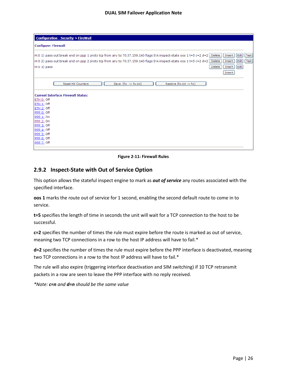**Figure 2-11: Firewall Rules**

#### <span id="page-25-1"></span><span id="page-25-0"></span>**2.9.2 Inspect-State with Out of Service Option**

This option allows the stateful inspect engine to mark as *out of service* any routes associated with the specified interface.

**oos 1** marks the route out of service for 1 second, enabling the second default route to come in to service.

**t=5** specifies the length of time in seconds the unit will wait for a TCP connection to the host to be successful.

**c=2** specifies the number of times the rule must expire before the route is marked as out of service, meaning two TCP connections in a row to the host IP address will have to fail.\*

**d=2** specifies the number of times the rule must expire before the PPP interface is deactivated, meaning two TCP connections in a row to the host IP address will have to fail.\*

The rule will also expire (triggering interface deactivation and SIM switching) if 10 TCP retransmit packets in a row are seen to leave the PPP interface with no reply received.

*\*Note: c=n and d=n should be the same value*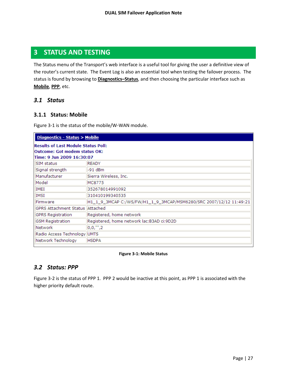## <span id="page-26-0"></span>**3 STATUS AND TESTING**

The Status menu of the Transport's web interface is a useful tool for giving the user a definitive view of the router's current state. The Event Log is also an essential tool when testing the failover process. The status is found by browsing to **Diagnostics–Status**, and then choosing the particular interface such as **Mobile**, **PPP** , etc.

#### <span id="page-26-1"></span>*3.1 Status*

#### <span id="page-26-2"></span>**3.1.1 Status: Mobile**

Figure 3-1 is the status of the mobile/W-WAN module.

| Diagnostics - Status > Mobile                                                                                   |                                                                    |  |  |
|-----------------------------------------------------------------------------------------------------------------|--------------------------------------------------------------------|--|--|
| <b>Results of Last Module Status Poll:</b><br><b>Outcome: Got modem status OK:</b><br>Time: 9 Jun 2009 16:30:07 |                                                                    |  |  |
| READY<br>ISIM status                                                                                            |                                                                    |  |  |
| Signal strength                                                                                                 | -91 dBm                                                            |  |  |
| Manufacturer                                                                                                    | Sierra Wireless, Inc.                                              |  |  |
| Model                                                                                                           | MC8775                                                             |  |  |
| IMEI                                                                                                            | 352678014991092                                                    |  |  |
| <b>IMSI</b>                                                                                                     | 310410199340535                                                    |  |  |
| Firmware                                                                                                        | H1_1_9_3MCAP C:/WS/FW/H1_1_9_3MCAP/MSM6280/SRC 2007/12/12 11:49:21 |  |  |
| GPRS Attachment Status   Attached                                                                               |                                                                    |  |  |
| <b>GPRS Registration</b>                                                                                        | Registered, home network                                           |  |  |
| <b>GSM Registration</b>                                                                                         | Registered, home network lac:B3AD ci:9D2D                          |  |  |
| Network                                                                                                         | 0,0,"",2                                                           |  |  |
| Radio Access Technology UMTS                                                                                    |                                                                    |  |  |
| Network Technology                                                                                              | <b>HSDPA</b>                                                       |  |  |

#### **Figure 3-1: Mobile Status**

#### <span id="page-26-4"></span><span id="page-26-3"></span>*3.2 Status: PPP*

Figure 3-2 is the status of PPP 1. PPP 2 would be inactive at this point, as PPP 1 is associated with the higher priority default route.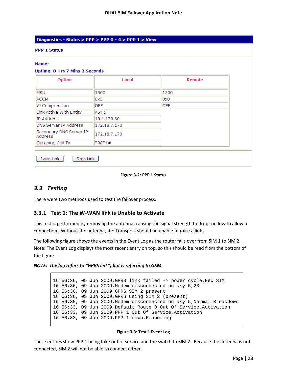| Diagnostics - Status > PPP > PPP 0 - 4 > PPP 1 > View |                  |               |  |
|-------------------------------------------------------|------------------|---------------|--|
| <b>PPP 1 Status</b>                                   |                  |               |  |
| Name:                                                 |                  |               |  |
| <b>Uptime: 0 Hrs 7 Mins 2 Seconds</b>                 |                  |               |  |
| <b>Option</b>                                         | Local            | <b>Remote</b> |  |
| <b>MRU</b>                                            | 1500             | 1500          |  |
| ACCM                                                  | 0x0              | 0x0           |  |
| VJ Compression                                        | <b>OFF</b>       | <b>OFF</b>    |  |
| Link Active With Entity                               | ASY <sub>5</sub> |               |  |
| IP Address                                            | 10.1.170.80      |               |  |
| DNS Server IP Address                                 | 172.18.7.170     |               |  |
| Secondary DNS Server IP<br>Address                    | 172.18.7.170     |               |  |
| Outgoing Call To                                      | $*98*1#$         |               |  |

#### **Figure 3-2: PPP 1 Status**

## <span id="page-27-2"></span><span id="page-27-0"></span>*3.3 Testing*

There were two methods used to test the failover process:

#### <span id="page-27-1"></span>**3.3.1 Test 1: The W-WAN link is Unable to Activate**

This test is performed by removing the antenna, causing the signal strength to drop too low to allow a connection. Without the antenna, the Transport should be unable to raise a link.

The following figure shows the events in the Event Log as the router fails over from SIM 1 to SIM 2. Note: The Event Log displays the most recent entry on top, so this should be read from the bottom of the figure.

#### *NOTE: The log refers to "GPRS link", but is referring to GSM.*

16:56:36, 09 Jun 2009,GPRS link failed -> power cycle,New SIM 16:56:36, 09 Jun 2009,Modem disconnected on asy 5,23 16:56:36, 09 Jun 2009,GPRS SIM 2 present 16:56:36, 09 Jun 2009,GPRS using SIM 2 (present) 16:56:35, 09 Jun 2009,Modem disconnected on asy 5,Normal Breakdown 16:56:33, 09 Jun 2009,Default Route 0 Out Of Service,Activation 16:56:33, 09 Jun 2009,PPP 1 Out Of Service,Activation 16:56:33, 09 Jun 2009,PPP 1 down,Rebooting

#### **Figure 3-3: Test 1 Event Log**

<span id="page-27-3"></span>These entries show PPP 1 being take out of service and the switch to SIM 2. Because the antenna is not connected, SIM 2 will not be able to connect either.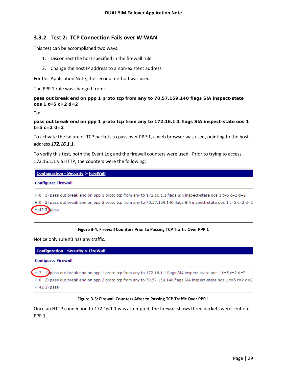#### <span id="page-28-0"></span>**3.3.2 Test 2: TCP Connection Fails over W-WAN**

This test can be accomplished two ways:

- 1. Disconnect the host specified in the firewall rule
- 2. Change the host IP address to a non-existent address

For this Application Note, the second method was used.

The PPP 1 rule was changed from:

#### *pass out break end on ppp 1 proto tcp from any to 70.57.159.140 flags S!A inspect-state oos 1 t=5 c=2 d=2*

To:

```
pass out break end on ppp 1 proto tcp from any to 172.16.1.1 flags S!A inspect-state oos 1 
t=5 c=2 d=2
```
To activate the failure of TCP packets to pass over PPP 1, a web browser was used, pointing to the host address *172.16.1.1*.

To verify this test, both the Event Log and the firewall counters were used. Prior to trying to access 172.16.1.1 via HTTP, the counters were the following:

| $\blacksquare$ Configuration - Security > FireWall                                                                 |  |  |  |  |
|--------------------------------------------------------------------------------------------------------------------|--|--|--|--|
| <b>Configure: Firewall</b>                                                                                         |  |  |  |  |
| $H:0$ 1) pass out break end on ppp 1 proto tcp from any to 172.16.1.1 flags SIA inspect-state oos 1 t=5 c=2 d=2    |  |  |  |  |
| $H:0$ 2) pass out break end on ppp 2 proto tcp from any to 70.57.159.140 flags SIA inspect-state oos 1 t=5 c=2 d=2 |  |  |  |  |
| $(H:423)$ pass                                                                                                     |  |  |  |  |

#### **Figure 3-4: Firewall Counters Prior to Passing TCP Traffic Over PPP 1**

<span id="page-28-1"></span>Notice only rule #3 has any traffic.

| $\blacksquare$ Configuration - Security > FireWall |                                                                                                                    |  |  |
|----------------------------------------------------|--------------------------------------------------------------------------------------------------------------------|--|--|
|                                                    | Configure: Firewall                                                                                                |  |  |
|                                                    | $(H:3, 1)$ pass out break end on ppp 1 proto tcp from any to 172.16.1.1 flags SIA inspect-state oos 1 t=5 c=2 d=2  |  |  |
|                                                    | $H:0$ 2) pass out break end on ppp 2 proto tcp from any to 70.57.159.140 flags SIA inspect-state oos 1 t=5 c=2 d=2 |  |  |
|                                                    | $H:423$ ) pass                                                                                                     |  |  |

#### **Figure 3-5: Firewall Counters After to Passing TCP Traffic Over PPP 1**

<span id="page-28-2"></span>Once an HTTP connection to 172.16.1.1 was attempted, the firewall shows three packets were sent out PPP 1.